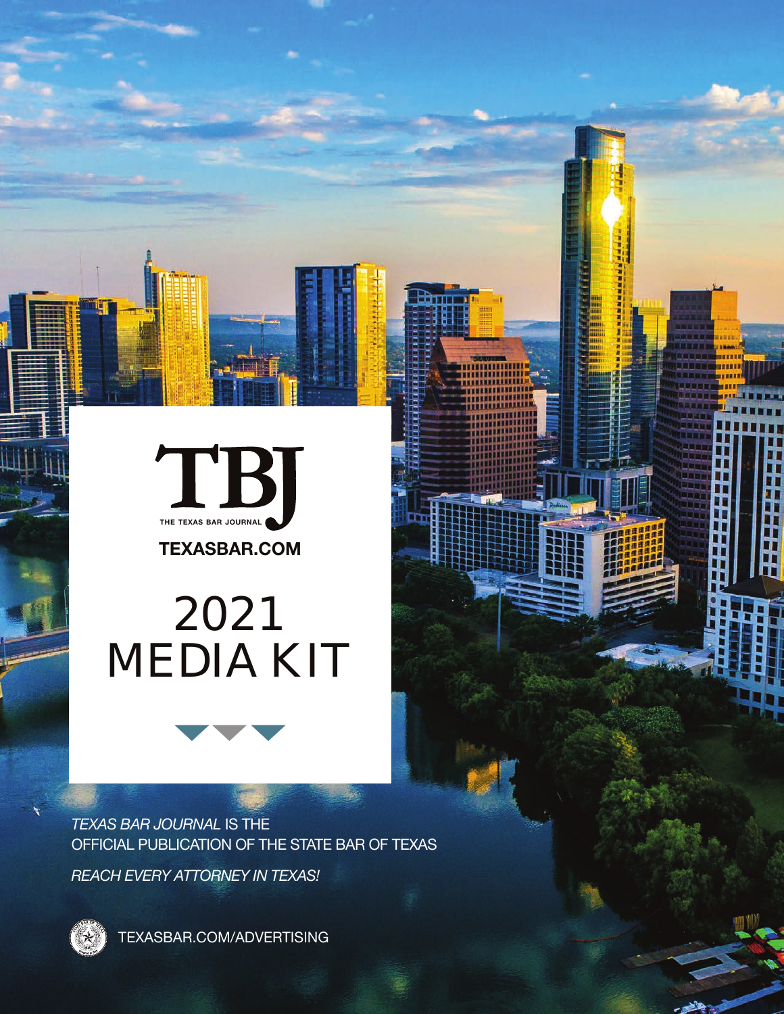

**TEXASBAR.COM**

π

# 2021 MEDIA KIT

*TEXAS BAR JOURNAL* IS THE OFFICIAL PUBLICATION OF THE STATE BAR OF TEXAS

*REACH EVERY ATTORNEY IN TEXAS!*



TEXASBAR.COM/ADVERTISING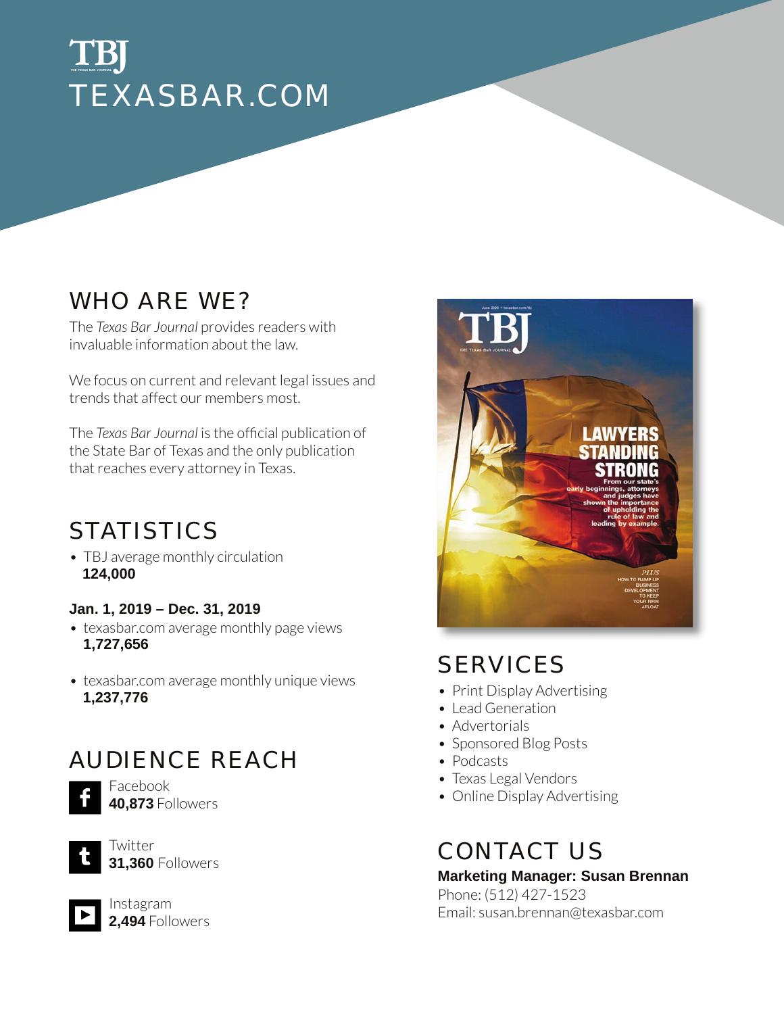### TBJ **THE TEXAS BAR JOURNAL**TEXASBAR.COM

### WHO ARE WE?

The *Texas Bar Journal* provides readers with invaluable information about the law.

We focus on current and relevant legal issues and trends that affect our members most.

The *Texas Bar Journal* is the official publication of the State Bar of Texas and the only publication that reaches every attorney in Texas.

## **STATISTICS**

• TBJ average monthly circulation **124,000**

#### **Jan. 1, 2019 – Dec. 31, 2019**

- texasbar.com average monthly page views **1,727,656**
- texasbar.com average monthly unique views **1,237,776**

### AUDIENCE REACH



Facebook **40,873** Followers



Twitter **31,360** Followers



Instagram **2,494** Followers



## SERVICES

- Print Display Advertising
- Lead Generation
- Advertorials
- Sponsored Blog Posts
- Podcasts
- Texas Legal Vendors
- Online Display Advertising

### CONTACT US

**Marketing Manager: Susan Brennan** Phone: (512) 427-1523 Email: susan.brennan@texasbar.com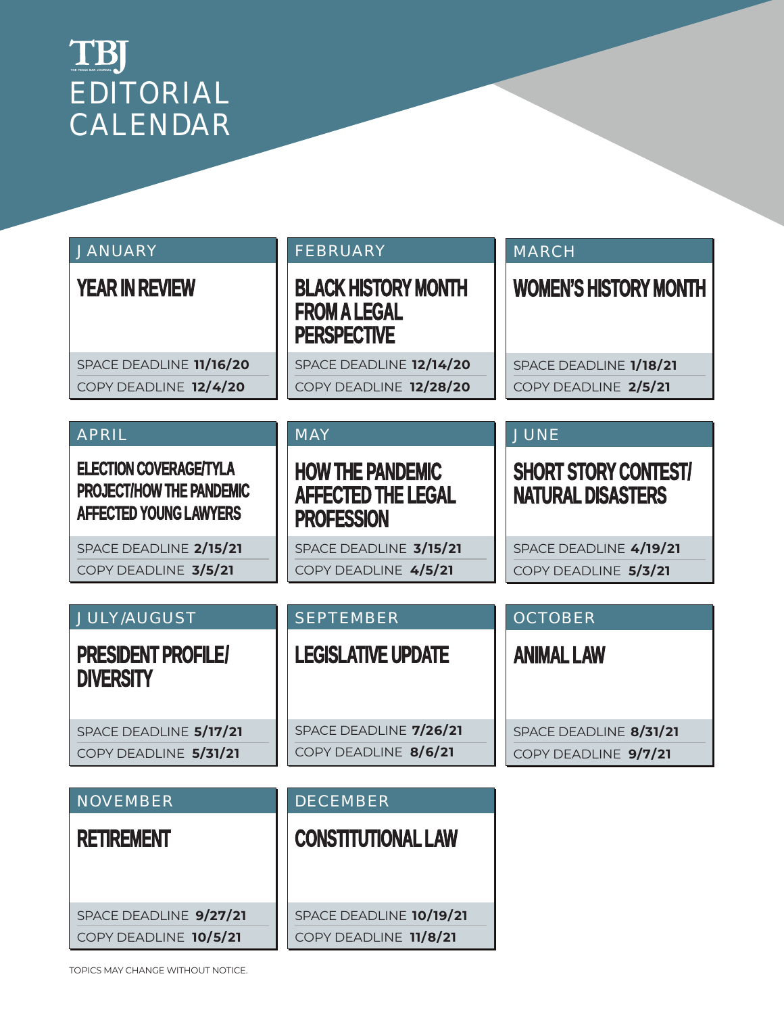## EDITORIAL CALENDAR **THE TEXAS BAR JOURNAL**

| <b>JANUARY</b>                                                                      | <b>FEBRUARY</b>                                                           | <b>MARCH</b>                                            |
|-------------------------------------------------------------------------------------|---------------------------------------------------------------------------|---------------------------------------------------------|
| <b>YEAR IN REVIEW</b>                                                               | <b>BLACK HISTORY MONTH</b><br><b>FROM A LEGAL</b><br><b>PERSPECTIVE</b>   | <b>WOMEN'S HISTORY MONTH</b>                            |
| SPACE DEADLINE 11/16/20                                                             | SPACE DEADLINE 12/14/20                                                   | SPACE DEADLINE 1/18/21                                  |
| COPY DEADLINE 12/4/20                                                               | COPY DEADLINE 12/28/20                                                    | COPY DEADLINE 2/5/21                                    |
| <b>APRIL</b>                                                                        | <b>MAY</b>                                                                | JUNE                                                    |
| ELECTION COVERAGE/TYLA<br>PROJECT/HOW THE PANDEMIC<br><b>AFFECTED YOUNG LAWYERS</b> | <b>HOW THE PANDEMIC</b><br><b>AFFECTED THE LEGAL</b><br><b>PROFESSION</b> | <b>SHORT STORY CONTEST/</b><br><b>NATURAL DISASTERS</b> |
| SPACE DEADLINE 2/15/21                                                              | SPACE DEADLINE 3/15/21                                                    | SPACE DEADLINE 4/19/21                                  |
| COPY DEADLINE 3/5/21                                                                | COPY DEADLINE 4/5/21                                                      | COPY DEADLINE 5/3/21                                    |
|                                                                                     |                                                                           |                                                         |
| <b>JULY/AUGUST</b>                                                                  | <b>SEPTEMBER</b>                                                          | <b>OCTOBER</b>                                          |
| PRESIDENT PROFILE/<br><b>DIVERSITY</b>                                              | <b>LEGISLATIVE UPDATE</b>                                                 | <b>ANIMAL LAW</b>                                       |
| SPACE DEADLINE 5/17/21                                                              | SPACE DEADLINE 7/26/21                                                    | SPACE DEADLINE 8/31/21                                  |
| COPY DEADLINE 5/31/21                                                               | COPY DEADLINE 8/6/21                                                      | COPY DEADLINE 9/7/21                                    |
|                                                                                     |                                                                           |                                                         |
| <b>NOVEMBER</b>                                                                     | <b>DECEMBER</b>                                                           |                                                         |
| <b>RETIREMENT</b>                                                                   | <b>CONSTITUTIONAL LAW</b>                                                 |                                                         |
| SPACE DEADLINE 9/27/21                                                              | SPACE DEADLINE 10/19/21                                                   |                                                         |
| COPY DEADLINE 10/5/21                                                               | COPY DEADLINE 11/8/21                                                     |                                                         |

TOPICS MAY CHANGE WITHOUT NOTICE.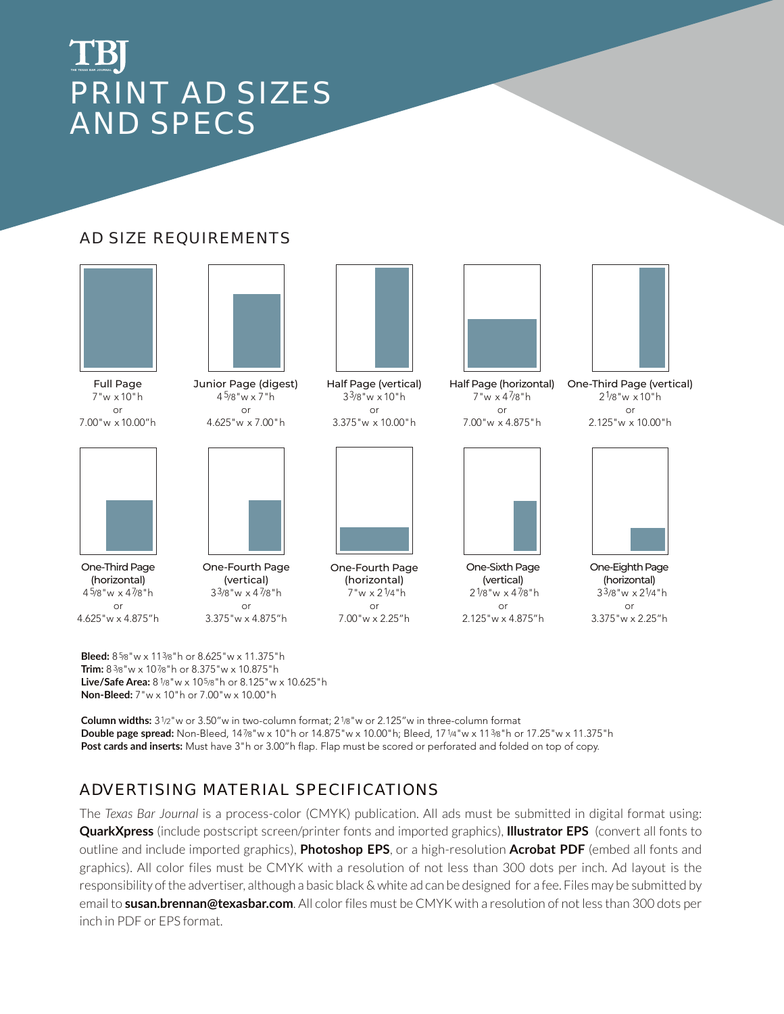## PRINT AD SIZES AND SPECS **THE TEXAS BAR JOURNAL**

#### AD SIZE REQUIREMENTS





Full Page 7"w x 10"h or 7.00"w x 10.00"h

One-Third Page (horizontal) 4 5/8"w x 47/8"h or 4.625"w x 4.875"h



Junior Page (digest) 4 5/8"w x 7"h or 4.625"w x 7.00"h



One-Fourth Page (vertical) 33/8"w x 4 7/8"h or 3.375"w x 4.875"h



Half Page (vertical)  $3^{3}/8"$ w x 10"h or 3.375"w x 10.00"h



One-Fourth Page (horizontal)  $7"w \times 2<sup>1</sup>/4"h$ or 7.00"w x 2.25"h



 $7"w \times 4\frac{7}{8"h}$ or

7.00"w x 4.875"h



One-Sixth Page (vertical)  $2^{1/8"w \times 4^{7/8"h}$ or 2.125"w x 4.875"h



Half Page (horizontal) One-Third Page (vertical)  $2^{1/8}$ "w  $\times$  10"h or 2.125"w x 10.00"h



One-Eighth Page (horizontal) 33/8"w x 21/4"h or 3.375"w x 2.25"h

**Bleed:** 8 5/8"w x 113/8"h or 8.625"w x 11.375"h **Trim:** 8 3/8"w x 107/8"h or 8.375"w x 10.875"h **Live/Safe Area:** 8 1/8"w x 105/8"h or 8.125"w x 10.625"h **Non-Bleed:** 7"w x 10"h or 7.00"w x 10.00"h

**Column widths:** 31/2"w or 3.50"w in two-column format; 21/8"w or 2.125"w in three-column format **Double page spread:** Non-Bleed, 147/8"w x 10"h or 14.875"w x 10.00"h; Bleed, 171/4"w x 113/8"h or 17.25"w x 11.375"h **Post cards and inserts:** Must have 3"h or 3.00"h flap. Flap must be scored or perforated and folded on top of copy.

#### ADVERTISING MATERIAL SPECIFICATIONS

The *Texas Bar Journal* is a process-color (CMYK) publication. All ads must be submitted in digital format using: **QuarkXpress** (include postscript screen/printer fonts and imported graphics), **Illustrator EPS** (convert all fonts to outline and include imported graphics), **Photoshop EPS**, or a high-resolution **Acrobat PDF** (embed all fonts and graphics). All color files must be CMYK with a resolution of not less than 300 dots per inch. Ad layout is the responsibility of the advertiser, although a basic black & white ad can be designed for a fee. Files may be submitted by email to **susan.brennan@texasbar.com**. All color files must be CMYK with a resolution of not less than 300 dots per inch in PDF or EPS format.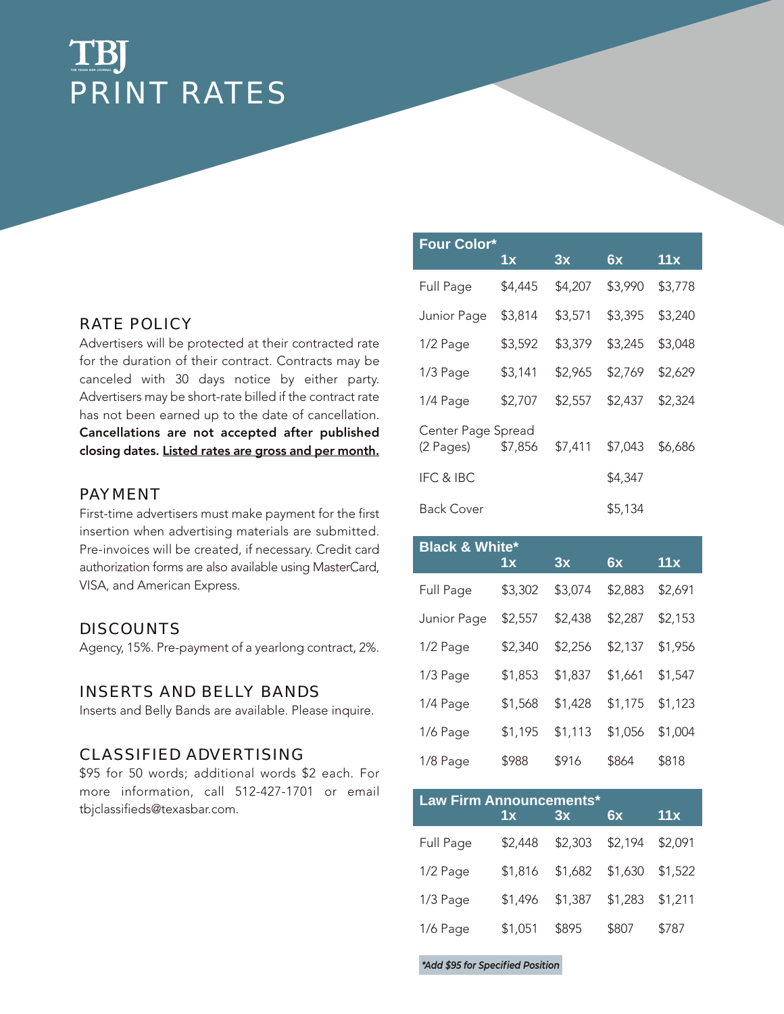### TBI **THE TEXAS BAR JOURNAL**PRINT RATES

#### RATE POLICY

Advertisers will be protected at their contracted rate for the duration of their contract. Contracts may be canceled with 30 days notice by either party. Advertisers may be short-rate billed if the contract rate has not been earned up to the date of cancellation. Cancellations are not accepted after published closing dates. Listed rates are gross and per month.

#### PAYMENT

First-time advertisers must make payment for the first insertion when advertising materials are submitted. Pre-invoices will be created, if necessary. Credit card authorization forms are also available using MasterCard, VISA, and American Express.

#### DISCOUNTS

Agency, 15%. Pre-payment of a yearlong contract, 2%.

#### INSERTS AND BELLY BANDS

Inserts and Belly Bands are available. Please inquire.

#### CLASSIFIED ADVERTISING

\$95 for 50 words; additional words \$2 each. For more information, call 512-427-1701 or email tbjclassifieds@texasbar.com.

| <b>Four Color*</b>              | 1x      | 3x      | 6x      | 11x     |
|---------------------------------|---------|---------|---------|---------|
| Full Page                       | \$4,445 | \$4,207 | \$3,990 | \$3,778 |
| Junior Page                     | \$3,814 | \$3,571 | \$3,395 | \$3,240 |
| 1/2 Page                        | \$3,592 | \$3,379 | \$3,245 | \$3,048 |
| 1/3 Page                        | \$3,141 | \$2,965 | \$2,769 | \$2,629 |
| 1/4 Page                        | \$2,707 | \$2,557 | \$2,437 | \$2,324 |
| Center Page Spread<br>(2 Pages) | \$7,856 | \$7,411 | \$7,043 | \$6,686 |
| IFC & IBC                       |         |         | \$4,347 |         |
| Back Cover                      |         |         | \$5,134 |         |

| <b>Black &amp; White*</b> |         |         |         |         |
|---------------------------|---------|---------|---------|---------|
|                           | 1x      | 3x      | 6x      | 11x     |
| Full Page                 | \$3,302 | \$3,074 | \$2,883 | \$2,691 |
| Junior Page               | \$2,557 | \$2,438 | \$2,287 | \$2,153 |
| 1/2 Page                  | \$2,340 | \$2,256 | \$2,137 | \$1,956 |
| 1/3 Page                  | \$1,853 | \$1,837 | \$1,661 | \$1,547 |
| 1/4 Page                  | \$1,568 | \$1,428 | \$1,175 | \$1,123 |
| 1/6 Page                  | \$1,195 | \$1,113 | \$1,056 | \$1,004 |
| 1/8 Page                  | \$988   | \$916   | \$864   | \$818   |

| <b>Law Firm Announcements*</b> | 1x      | 3x      | 6x      | 11x     |
|--------------------------------|---------|---------|---------|---------|
| Full Page                      | \$2,448 | \$2,303 | \$2,194 | \$2,091 |
| 1/2 Page                       | \$1,816 | \$1,682 | \$1,630 | \$1,522 |
| 1/3 Page                       | \$1,496 | \$1,387 | \$1,283 | \$1,211 |
| 1/6 Page                       | \$1,051 | \$895   | \$807   | \$787   |

*\*Add \$95 for Specified Position*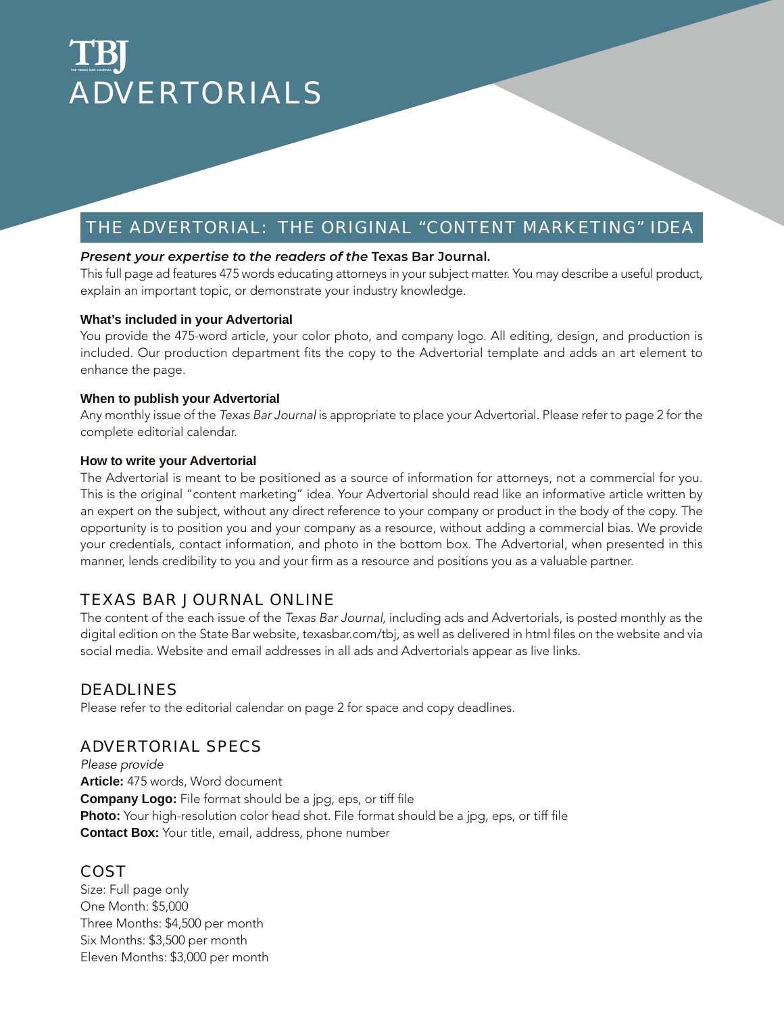# ADVERTORIALS **THE TEXAS BAR JOURNAL**

#### THE ADVERTORIAL: THE ORIGINAL "CONTENT MARKETING" IDEA

#### **Present your expertise to the readers of the Texas Bar Journal.**

This full page ad features 475 words educating attorneys in your subject matter. You may describe a useful product, explain an important topic, or demonstrate your industry knowledge.

#### **What's included in your Advertorial**

You provide the 475-word article, your color photo, and company logo. All editing, design, and production is included. Our production department fits the copy to the Advertorial template and adds an art element to enhance the page.

#### **When to publish your Advertorial**

Any monthly issue of the *Texas Bar Journal* is appropriate to place your Advertorial. Please refer to page 2 for the complete editorial calendar.

#### **How to write your Advertorial**

The Advertorial is meant to be positioned as a source of information for attorneys, not a commercial for you. This is the original "content marketing" idea. Your Advertorial should read like an informative article written by an expert on the subject, without any direct reference to your company or product in the body of the copy. The opportunity is to position you and your company as a resource, without adding a commercial bias. We provide your credentials, contact information, and photo in the bottom box. The Advertorial, when presented in this manner, lends credibility to you and your firm as a resource and positions you as a valuable partner.

#### TEXAS BAR JOURNAL ONLINE

The content of the each issue of the *Texas Bar Journal*, including ads and Advertorials, is posted monthly as the digital edition on the State Bar website, texasbar.com/tbj, as well as delivered in html files on the website and via social media. Website and email addresses in all ads and Advertorials appear as live links.

#### DEADLINES

Please refer to the editorial calendar on page 2 for space and copy deadlines.

#### ADVERTORIAL SPECS

*Please provide* **Article:** 475 words, Word document **Company Logo:** File format should be a jpg, eps, or tiff file **Photo:** Your high-resolution color head shot. File format should be a jpg, eps, or tiff file **Contact Box:** Your title, email, address, phone number

#### **COST**

Size: Full page only One Month: \$5,000 Three Months: \$4,500 per month Six Months: \$3,500 per month Eleven Months: \$3,000 per month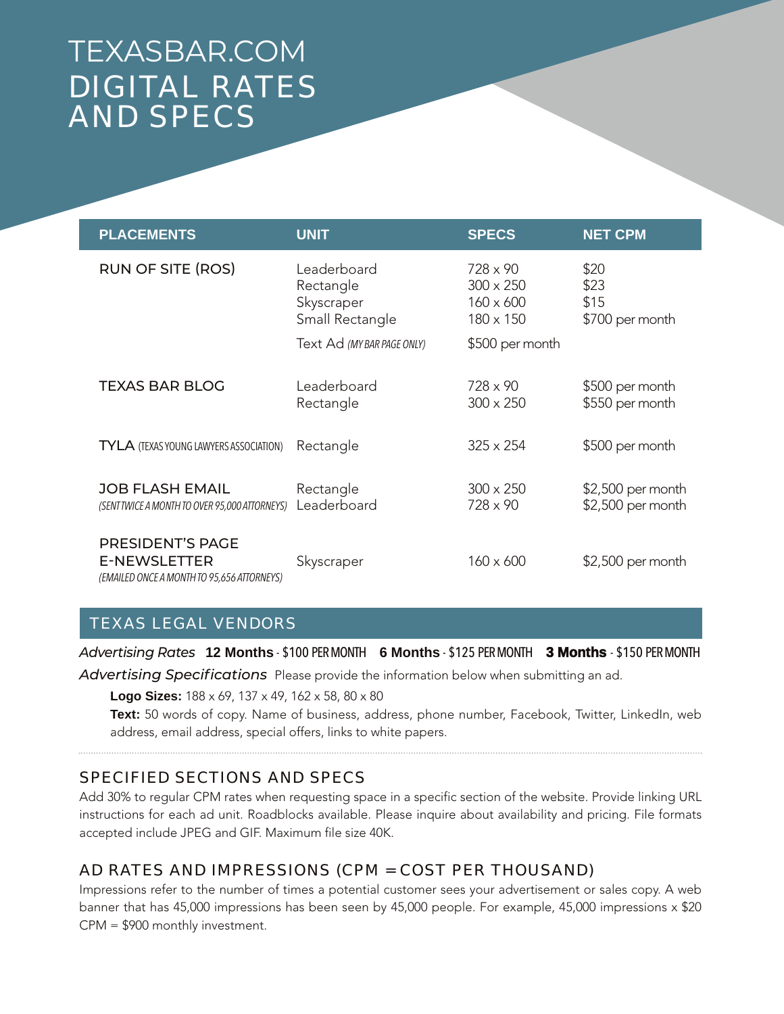## TEXASBAR.COM DIGITAL RATES AND SPECS

| <b>PLACEMENTS</b>                                                                            | <b>UNIT</b>                                               | <b>SPECS</b>                                                         | <b>NET CPM</b>                          |
|----------------------------------------------------------------------------------------------|-----------------------------------------------------------|----------------------------------------------------------------------|-----------------------------------------|
| <b>RUN OF SITE (ROS)</b>                                                                     | Leaderboard<br>Rectangle<br>Skyscraper<br>Small Rectangle | $728 \times 90$<br>$300 \times 250$<br>$160 \times 600$<br>180 x 150 | \$20<br>\$23<br>\$15<br>\$700 per month |
|                                                                                              | Text Ad (MY BAR PAGE ONLY)                                | \$500 per month                                                      |                                         |
| <b>TEXAS BAR BLOG</b>                                                                        | Leaderboard<br>Rectangle                                  | $728 \times 90$<br>$300 \times 250$                                  | \$500 per month<br>\$550 per month      |
| TYLA (TEXAS YOUNG LAWYERS ASSOCIATION)                                                       | Rectangle                                                 | $325 \times 254$                                                     | \$500 per month                         |
| <b>JOB FLASH EMAIL</b><br>(SENT TWICE A MONTH TO OVER 95,000 ATTORNEYS)                      | Rectangle<br>Leaderboard                                  | $300 \times 250$<br>$728 \times 90$                                  | \$2,500 per month<br>\$2,500 per month  |
| <b>PRESIDENT'S PAGE</b><br><b>E-NEWSLETTER</b><br>(EMAILED ONCE A MONTH TO 95,656 ATTORNEYS) | Skyscraper                                                | $160 \times 600$                                                     | \$2,500 per month                       |

#### TEXAS LEGAL VENDORS

*Advertising Rates* **12 Months** - \$100 PER MONTH **6 Months** - \$125 PER MONTH **3 Months** - \$150 PER MONTH

*Advertising Specifications* Please provide the information below when submitting an ad.

**Logo Sizes:** 188 x 69, 137 x 49, 162 x 58, 80 x 80

**Text:** 50 words of copy. Name of business, address, phone number, Facebook, Twitter, LinkedIn, web address, email address, special offers, links to white papers.

#### SPECIFIED SECTIONS AND SPECS

Add 30% to regular CPM rates when requesting space in a specific section of the website. Provide linking URL instructions for each ad unit. Roadblocks available. Please inquire about availability and pricing. File formats accepted include JPEG and GIF. Maximum file size 40K.

#### AD RATES AND IMPRESSIONS (CPM = COST PER THOUSAND)

Impressions refer to the number of times a potential customer sees your advertisement or sales copy. A web banner that has 45,000 impressions has been seen by 45,000 people. For example, 45,000 impressions x \$20 CPM = \$900 monthly investment.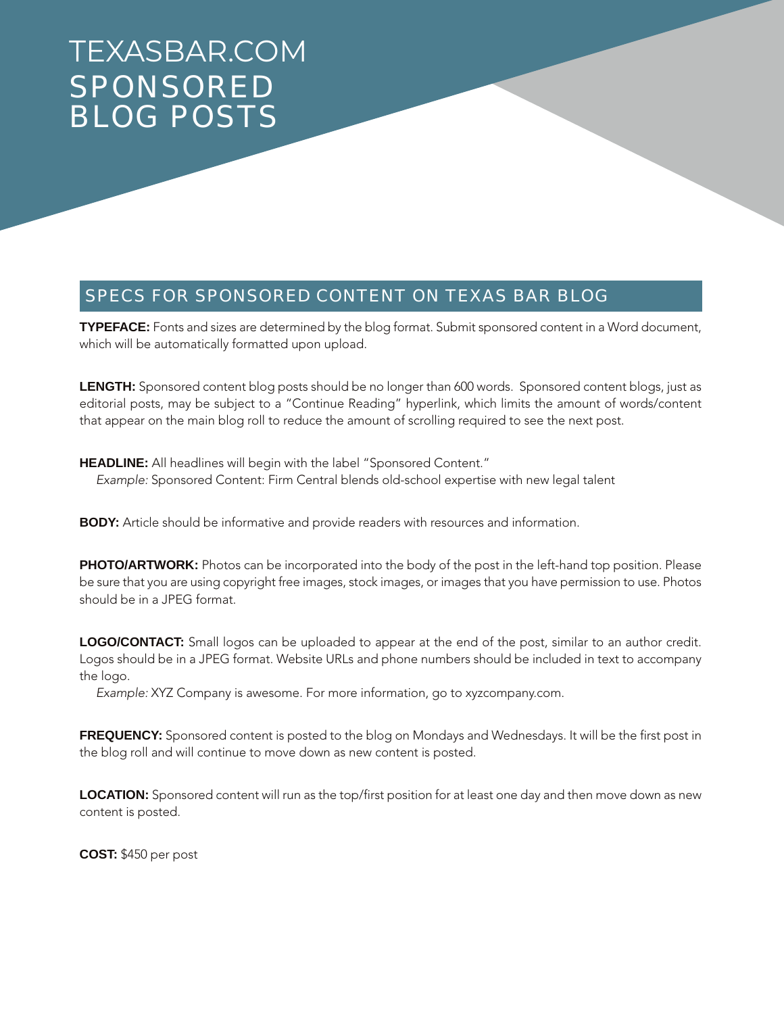## TEXASBAR.COM SPONSORED BLOG POSTS

#### SPECS FOR SPONSORED CONTENT ON TEXAS BAR BLOG

**TYPEFACE:** Fonts and sizes are determined by the blog format. Submit sponsored content in a Word document, which will be automatically formatted upon upload.

**LENGTH:** Sponsored content blog posts should be no longer than 600 words. Sponsored content blogs, just as editorial posts, may be subject to a "Continue Reading" hyperlink, which limits the amount of words/content that appear on the main blog roll to reduce the amount of scrolling required to see the next post.

**HEADLINE:** All headlines will begin with the label "Sponsored Content." *Example:* Sponsored Content: Firm Central blends old-school expertise with new legal talent

**BODY:** Article should be informative and provide readers with resources and information.

**PHOTO/ARTWORK:** Photos can be incorporated into the body of the post in the left-hand top position. Please be sure that you are using copyright free images, stock images, or images that you have permission to use. Photos should be in a JPEG format.

**LOGO/CONTACT:** Small logos can be uploaded to appear at the end of the post, similar to an author credit. Logos should be in a JPEG format. Website URLs and phone numbers should be included in text to accompany the logo.

*Example:* XYZ Company is awesome. For more information, go to xyzcompany.com.

**FREQUENCY:** Sponsored content is posted to the blog on Mondays and Wednesdays. It will be the first post in the blog roll and will continue to move down as new content is posted.

**LOCATION:** Sponsored content will run as the top/first position for at least one day and then move down as new content is posted.

**COST:** \$450 per post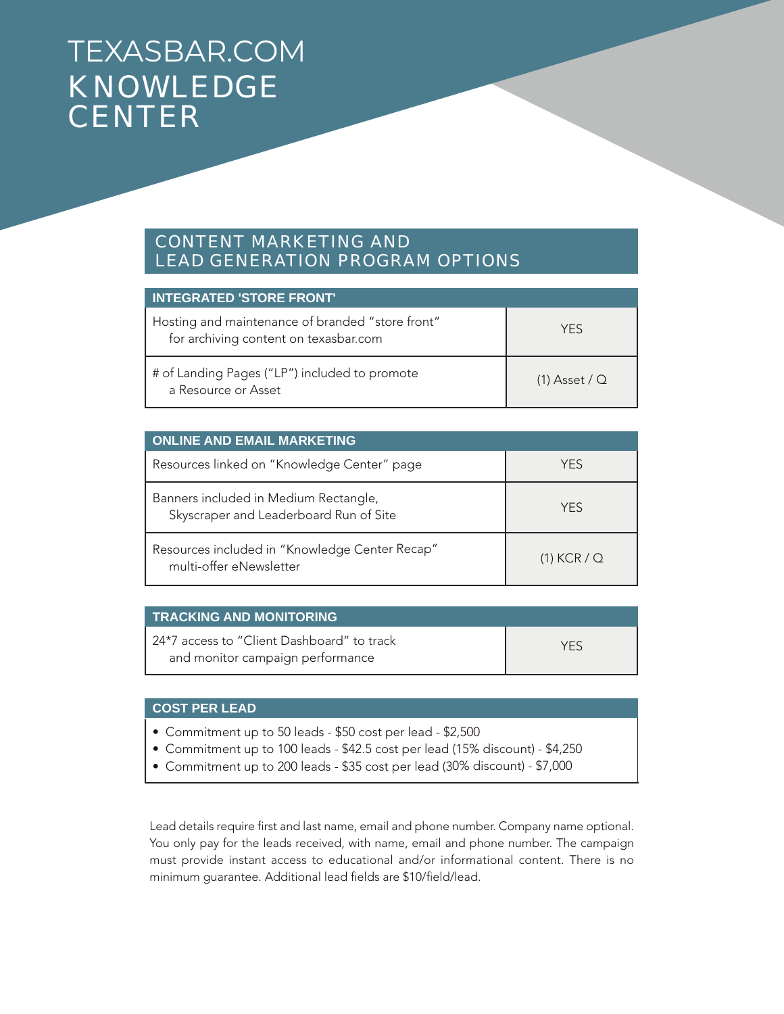## TEXASBAR.COM KNOWLEDGE **CENTER**

#### CONTENT MARKETING AND LEAD GENERATION PROGRAM OPTIONS

| <b>INTEGRATED 'STORE FRONT'</b>                                                           |                 |
|-------------------------------------------------------------------------------------------|-----------------|
| Hosting and maintenance of branded "store front"<br>for archiving content on texasbar.com | <b>YFS</b>      |
| # of Landing Pages ("LP") included to promote<br>a Resource or Asset                      | $(1)$ Asset / Q |

| <b>ONLINE AND EMAIL MARKETING</b>                                               |               |
|---------------------------------------------------------------------------------|---------------|
| Resources linked on "Knowledge Center" page                                     | YFS           |
| Banners included in Medium Rectangle,<br>Skyscraper and Leaderboard Run of Site | <b>YFS</b>    |
| Resources included in "Knowledge Center Recap"<br>multi-offer eNewsletter       | $(1)$ KCR / Q |

| <b>TRACKING AND MONITORING</b>                                                 |     |
|--------------------------------------------------------------------------------|-----|
| 24*7 access to "Client Dashboard" to track<br>and monitor campaign performance | YFS |

#### **COST PER LEAD**

- Commitment up to 50 leads \$50 cost per lead \$2,500
- Commitment up to 100 leads \$42.5 cost per lead (15% discount) \$4,250
- Commitment up to 200 leads \$35 cost per lead (30% discount) \$7,000

Lead details require first and last name, email and phone number. Company name optional. You only pay for the leads received, with name, email and phone number. The campaign must provide instant access to educational and/or informational content. There is no minimum guarantee. Additional lead fields are \$10/field/lead.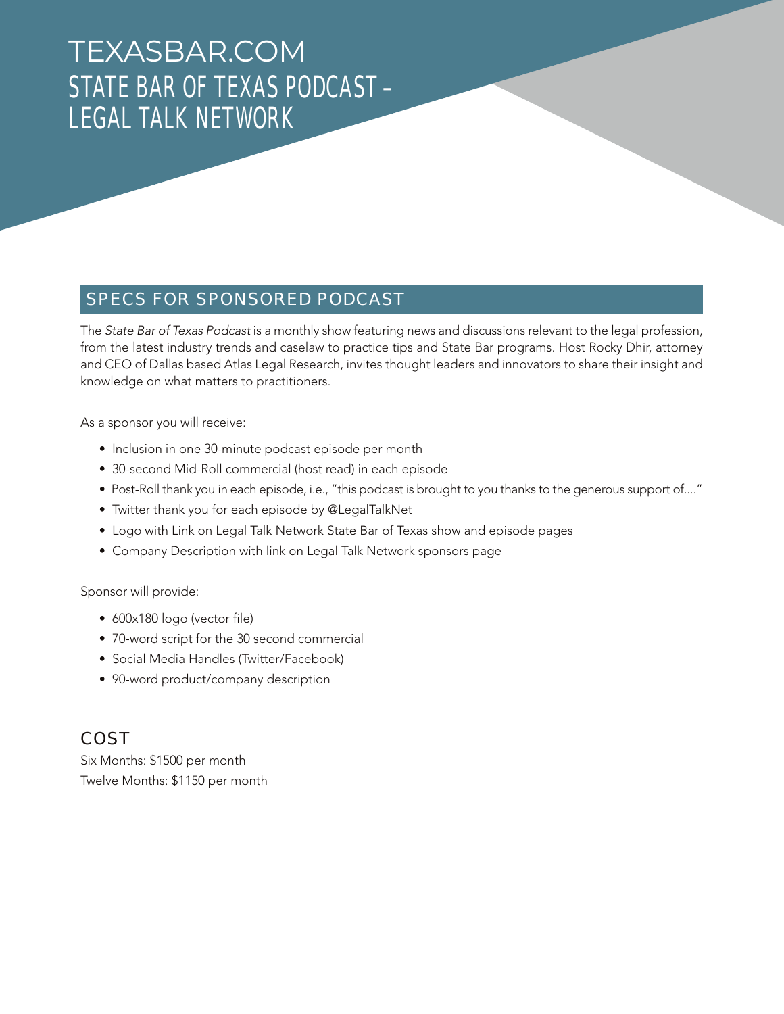## TEXASBAR.COM STATE BAR OF TEXAS PODCAST – LEGAL TALK NETWORK

#### SPECS FOR SPONSORED PODCAST

The *State Bar of Texas Podcast* is a monthly show featuring news and discussions relevant to the legal profession, from the latest industry trends and caselaw to practice tips and State Bar programs. Host Rocky Dhir, attorney and CEO of Dallas based Atlas Legal Research, invites thought leaders and innovators to share their insight and knowledge on what matters to practitioners.

As a sponsor you will receive:

- Inclusion in one 30-minute podcast episode per month
- 30-second Mid-Roll commercial (host read) in each episode
- Post-Roll thank you in each episode, i.e., "this podcast is brought to you thanks to the generous support of...."
- Twitter thank you for each episode by @LegalTalkNet
- Logo with Link on Legal Talk Network State Bar of Texas show and episode pages
- Company Description with link on Legal Talk Network sponsors page

Sponsor will provide:

- 600x180 logo (vector file)
- 70-word script for the 30 second commercial
- Social Media Handles (Twitter/Facebook)
- 90-word product/company description

#### COST

Six Months: \$1500 per month Twelve Months: \$1150 per month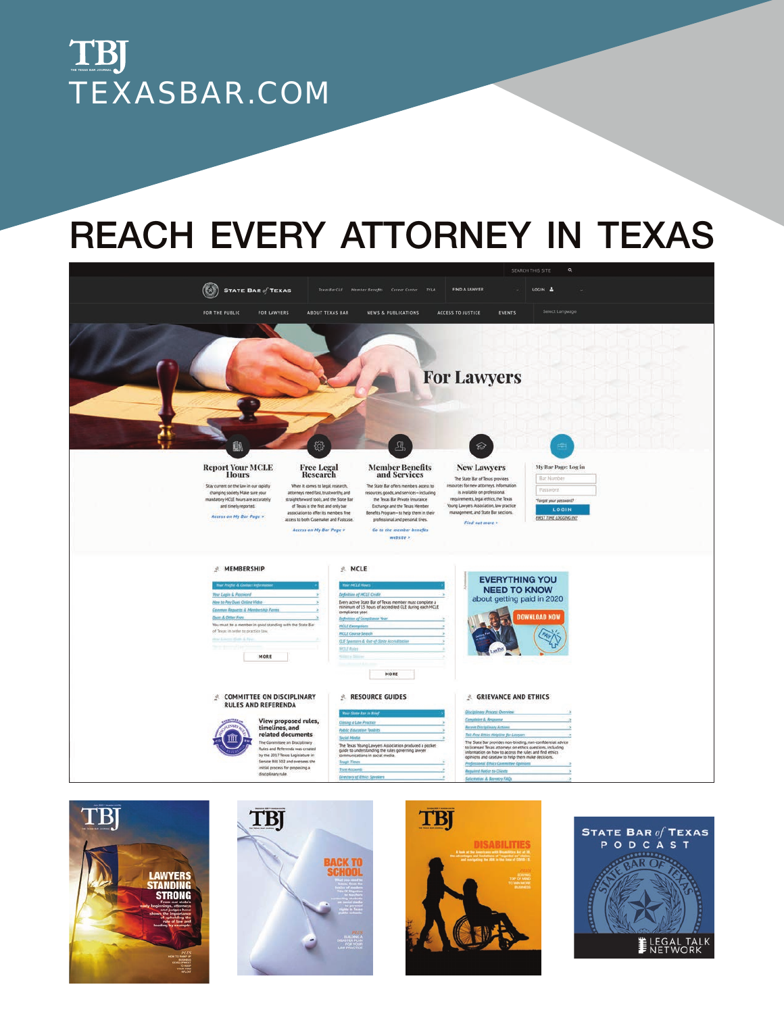

# REACH EVERY ATTORNEY IN TEXAS